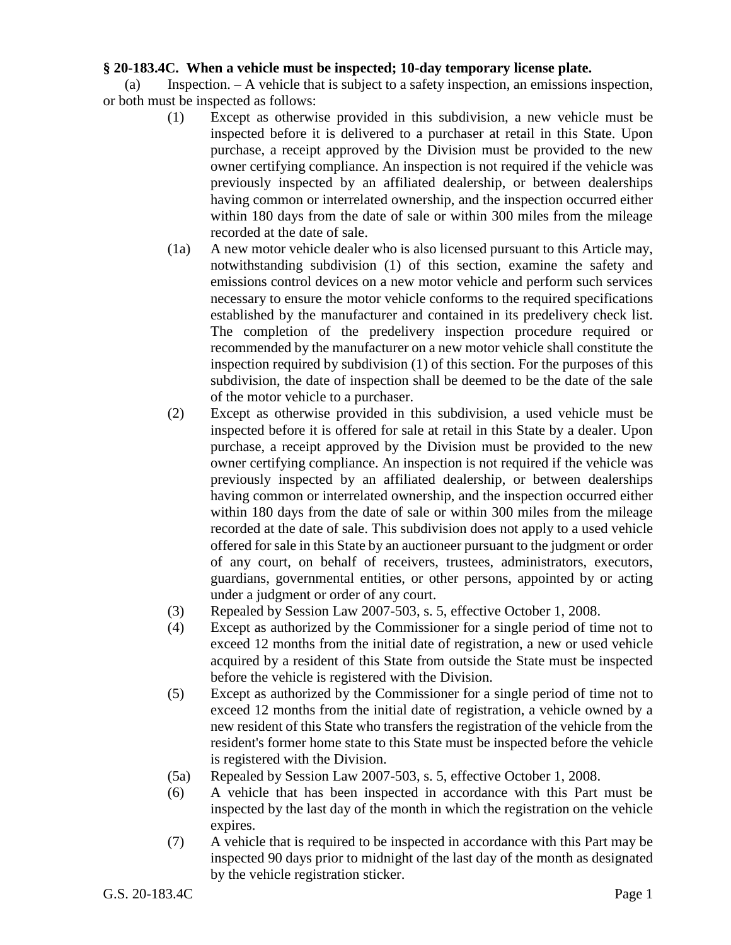## **§ 20-183.4C. When a vehicle must be inspected; 10-day temporary license plate.**

(a) Inspection. – A vehicle that is subject to a safety inspection, an emissions inspection, or both must be inspected as follows:

- (1) Except as otherwise provided in this subdivision, a new vehicle must be inspected before it is delivered to a purchaser at retail in this State. Upon purchase, a receipt approved by the Division must be provided to the new owner certifying compliance. An inspection is not required if the vehicle was previously inspected by an affiliated dealership, or between dealerships having common or interrelated ownership, and the inspection occurred either within 180 days from the date of sale or within 300 miles from the mileage recorded at the date of sale.
- (1a) A new motor vehicle dealer who is also licensed pursuant to this Article may, notwithstanding subdivision (1) of this section, examine the safety and emissions control devices on a new motor vehicle and perform such services necessary to ensure the motor vehicle conforms to the required specifications established by the manufacturer and contained in its predelivery check list. The completion of the predelivery inspection procedure required or recommended by the manufacturer on a new motor vehicle shall constitute the inspection required by subdivision (1) of this section. For the purposes of this subdivision, the date of inspection shall be deemed to be the date of the sale of the motor vehicle to a purchaser.
- (2) Except as otherwise provided in this subdivision, a used vehicle must be inspected before it is offered for sale at retail in this State by a dealer. Upon purchase, a receipt approved by the Division must be provided to the new owner certifying compliance. An inspection is not required if the vehicle was previously inspected by an affiliated dealership, or between dealerships having common or interrelated ownership, and the inspection occurred either within 180 days from the date of sale or within 300 miles from the mileage recorded at the date of sale. This subdivision does not apply to a used vehicle offered for sale in this State by an auctioneer pursuant to the judgment or order of any court, on behalf of receivers, trustees, administrators, executors, guardians, governmental entities, or other persons, appointed by or acting under a judgment or order of any court.
- (3) Repealed by Session Law 2007-503, s. 5, effective October 1, 2008.
- (4) Except as authorized by the Commissioner for a single period of time not to exceed 12 months from the initial date of registration, a new or used vehicle acquired by a resident of this State from outside the State must be inspected before the vehicle is registered with the Division.
- (5) Except as authorized by the Commissioner for a single period of time not to exceed 12 months from the initial date of registration, a vehicle owned by a new resident of this State who transfers the registration of the vehicle from the resident's former home state to this State must be inspected before the vehicle is registered with the Division.
- (5a) Repealed by Session Law 2007-503, s. 5, effective October 1, 2008.
- (6) A vehicle that has been inspected in accordance with this Part must be inspected by the last day of the month in which the registration on the vehicle expires.
- (7) A vehicle that is required to be inspected in accordance with this Part may be inspected 90 days prior to midnight of the last day of the month as designated by the vehicle registration sticker.